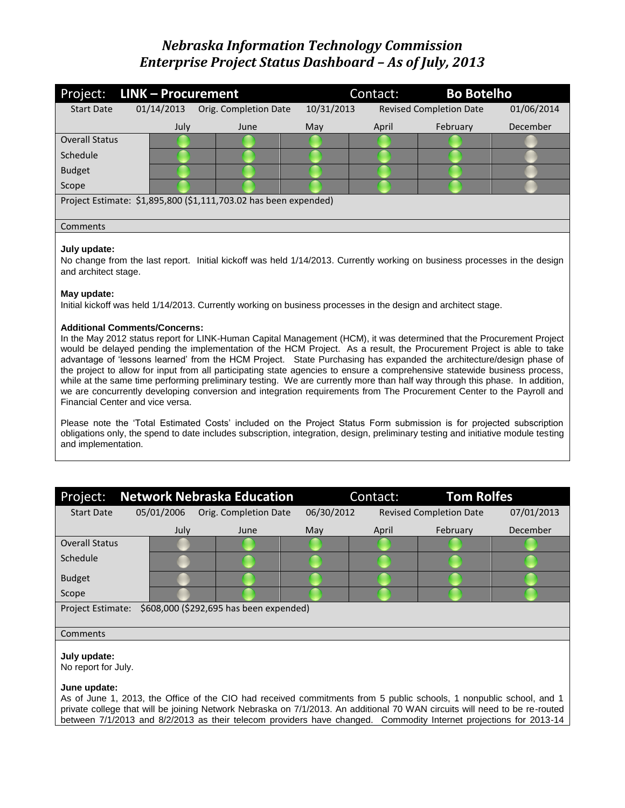| Project:              | LINK - Procurement |      |                                                                  |            | <b>Bo Botelho</b><br>Contact: |                                |            |
|-----------------------|--------------------|------|------------------------------------------------------------------|------------|-------------------------------|--------------------------------|------------|
| <b>Start Date</b>     | 01/14/2013         |      | Orig. Completion Date                                            | 10/31/2013 |                               | <b>Revised Completion Date</b> | 01/06/2014 |
|                       |                    | July | June                                                             | May        | April                         | February                       | December   |
| <b>Overall Status</b> |                    |      |                                                                  |            |                               |                                |            |
| Schedule              |                    |      |                                                                  |            |                               |                                |            |
| <b>Budget</b>         |                    |      |                                                                  |            |                               |                                |            |
| Scope                 |                    |      |                                                                  |            |                               |                                |            |
|                       |                    |      | Project Estimate: \$1,895,800 (\$1,111,703.02 has been expended) |            |                               |                                |            |
|                       |                    |      |                                                                  |            |                               |                                |            |
| Comments              |                    |      |                                                                  |            |                               |                                |            |
|                       |                    |      |                                                                  |            |                               |                                |            |

# **July update:**

No change from the last report. Initial kickoff was held 1/14/2013. Currently working on business processes in the design and architect stage.

# **May update:**

Initial kickoff was held 1/14/2013. Currently working on business processes in the design and architect stage.

# **Additional Comments/Concerns:**

In the May 2012 status report for LINK-Human Capital Management (HCM), it was determined that the Procurement Project would be delayed pending the implementation of the HCM Project. As a result, the Procurement Project is able to take advantage of 'lessons learned' from the HCM Project. State Purchasing has expanded the architecture/design phase of the project to allow for input from all participating state agencies to ensure a comprehensive statewide business process, while at the same time performing preliminary testing. We are currently more than half way through this phase. In addition, we are concurrently developing conversion and integration requirements from The Procurement Center to the Payroll and Financial Center and vice versa.

Please note the 'Total Estimated Costs' included on the Project Status Form submission is for projected subscription obligations only, the spend to date includes subscription, integration, design, preliminary testing and initiative module testing and implementation.

| Project:                            |            | <b>Network Nebraska Education</b>       |            | <b>Tom Rolfes</b><br>Contact: |                                |            |
|-------------------------------------|------------|-----------------------------------------|------------|-------------------------------|--------------------------------|------------|
| <b>Start Date</b>                   | 05/01/2006 | Orig. Completion Date                   | 06/30/2012 |                               | <b>Revised Completion Date</b> | 07/01/2013 |
|                                     | July       | June                                    | May        | April                         | February                       | December   |
| <b>Overall Status</b>               |            |                                         |            |                               |                                |            |
| Schedule                            |            |                                         |            |                               |                                |            |
| <b>Budget</b>                       |            |                                         |            |                               |                                |            |
| Scope                               |            |                                         |            |                               |                                |            |
| <b>Project Estimate:</b>            |            | \$608,000 (\$292,695 has been expended) |            |                               |                                |            |
| Comments                            |            |                                         |            |                               |                                |            |
| July update:<br>No report for July. |            |                                         |            |                               |                                |            |

#### **June update:**

As of June 1, 2013, the Office of the CIO had received commitments from 5 public schools, 1 nonpublic school, and 1 private college that will be joining Network Nebraska on 7/1/2013. An additional 70 WAN circuits will need to be re-routed between 7/1/2013 and 8/2/2013 as their telecom providers have changed. Commodity Internet projections for 2013-14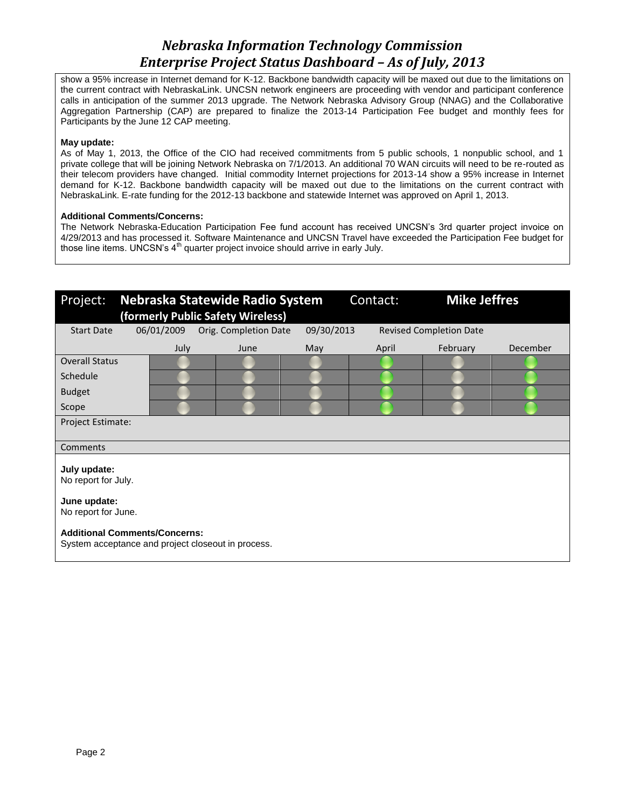show a 95% increase in Internet demand for K-12. Backbone bandwidth capacity will be maxed out due to the limitations on the current contract with NebraskaLink. UNCSN network engineers are proceeding with vendor and participant conference calls in anticipation of the summer 2013 upgrade. The Network Nebraska Advisory Group (NNAG) and the Collaborative Aggregation Partnership (CAP) are prepared to finalize the 2013-14 Participation Fee budget and monthly fees for Participants by the June 12 CAP meeting.

### **May update:**

As of May 1, 2013, the Office of the CIO had received commitments from 5 public schools, 1 nonpublic school, and 1 private college that will be joining Network Nebraska on 7/1/2013. An additional 70 WAN circuits will need to be re-routed as their telecom providers have changed. Initial commodity Internet projections for 2013-14 show a 95% increase in Internet demand for K-12. Backbone bandwidth capacity will be maxed out due to the limitations on the current contract with NebraskaLink. E-rate funding for the 2012-13 backbone and statewide Internet was approved on April 1, 2013.

# **Additional Comments/Concerns:**

The Network Nebraska-Education Participation Fee fund account has received UNCSN's 3rd quarter project invoice on 4/29/2013 and has processed it. Software Maintenance and UNCSN Travel have exceeded the Participation Fee budget for those line items. UNCSN's  $4<sup>th</sup>$  quarter project invoice should arrive in early July.

| Project:                             |            | Nebraska Statewide Radio System                    |            | Contact: | <b>Mike Jeffres</b>            |          |
|--------------------------------------|------------|----------------------------------------------------|------------|----------|--------------------------------|----------|
|                                      |            | (formerly Public Safety Wireless)                  |            |          |                                |          |
| <b>Start Date</b>                    | 06/01/2009 | Orig. Completion Date                              | 09/30/2013 |          | <b>Revised Completion Date</b> |          |
|                                      | July       | June                                               | May        | April    | February                       | December |
| <b>Overall Status</b>                |            |                                                    |            |          |                                |          |
| Schedule                             |            |                                                    |            |          |                                |          |
| <b>Budget</b>                        |            |                                                    |            |          |                                |          |
| Scope                                |            |                                                    |            |          |                                |          |
| Project Estimate:                    |            |                                                    |            |          |                                |          |
|                                      |            |                                                    |            |          |                                |          |
| Comments                             |            |                                                    |            |          |                                |          |
| July update:<br>No report for July.  |            |                                                    |            |          |                                |          |
| June update:<br>No report for June.  |            |                                                    |            |          |                                |          |
| <b>Additional Comments/Concerns:</b> |            | System acceptance and project closeout in process. |            |          |                                |          |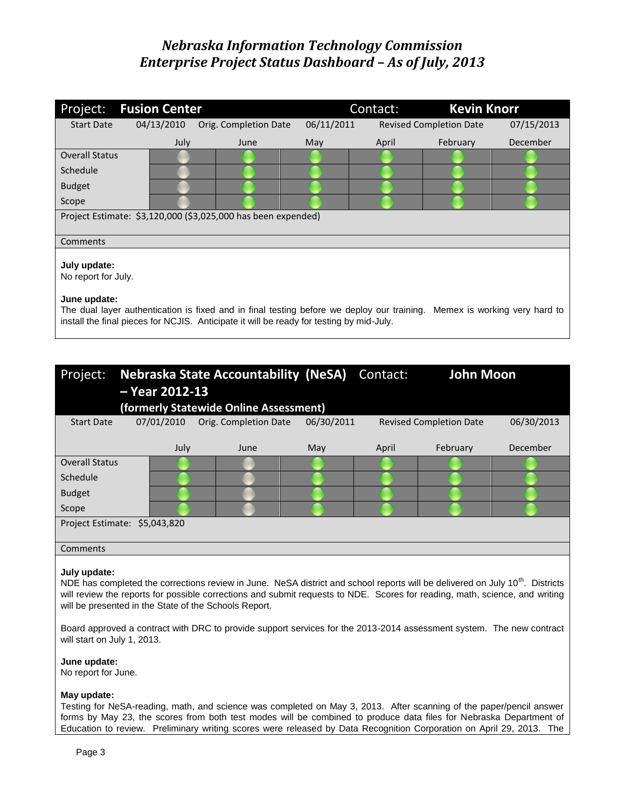| Project:                                            | <b>Fusion Center</b> |                                                                                                                                                                                                                      |            | Contact: | <b>Kevin Knorr</b>             |            |
|-----------------------------------------------------|----------------------|----------------------------------------------------------------------------------------------------------------------------------------------------------------------------------------------------------------------|------------|----------|--------------------------------|------------|
| <b>Start Date</b>                                   | 04/13/2010           | Orig. Completion Date                                                                                                                                                                                                | 06/11/2011 |          | <b>Revised Completion Date</b> | 07/15/2013 |
|                                                     | July                 | June                                                                                                                                                                                                                 | May        | April    | February                       | December   |
| <b>Overall Status</b>                               |                      |                                                                                                                                                                                                                      |            |          |                                |            |
| Schedule                                            |                      |                                                                                                                                                                                                                      |            |          |                                |            |
| <b>Budget</b>                                       |                      |                                                                                                                                                                                                                      |            |          |                                |            |
| Scope                                               |                      |                                                                                                                                                                                                                      |            |          |                                |            |
|                                                     |                      | Project Estimate: \$3,120,000 (\$3,025,000 has been expended)                                                                                                                                                        |            |          |                                |            |
| Comments                                            |                      |                                                                                                                                                                                                                      |            |          |                                |            |
| July update:<br>No report for July.<br>June update: |                      | The dual layer authentication is fixed and in final testing before we deploy our training. Memex is working very hard to<br>install the final pieces for NCJIS. Anticipate it will be ready for testing by mid-July. |            |          |                                |            |

| Project:                      | $-$ Year 2012-13 | <b>Nebraska State Accountability (NeSA)</b> |            | Contact: | <b>John Moon</b>               |            |
|-------------------------------|------------------|---------------------------------------------|------------|----------|--------------------------------|------------|
|                               |                  | (formerly Statewide Online Assessment)      |            |          |                                |            |
| <b>Start Date</b>             | 07/01/2010       | Orig. Completion Date                       | 06/30/2011 |          | <b>Revised Completion Date</b> | 06/30/2013 |
|                               |                  |                                             |            |          |                                |            |
|                               | July             | June                                        | May        | April    | February                       | December   |
| <b>Overall Status</b>         |                  |                                             |            |          |                                |            |
| Schedule                      |                  |                                             |            |          |                                |            |
| <b>Budget</b>                 |                  |                                             |            |          |                                |            |
| Scope                         |                  |                                             |            |          |                                |            |
| Project Estimate: \$5,043,820 |                  |                                             |            |          |                                |            |
|                               |                  |                                             |            |          |                                |            |
| Comments                      |                  |                                             |            |          |                                |            |

### **July update:**

NDE has completed the corrections review in June. NeSA district and school reports will be delivered on July 10<sup>th</sup>. Districts will review the reports for possible corrections and submit requests to NDE. Scores for reading, math, science, and writing will be presented in the State of the Schools Report.

Board approved a contract with DRC to provide support services for the 2013-2014 assessment system. The new contract will start on July 1, 2013.

### **June update:**

No report for June.

### **May update:**

Testing for NeSA-reading, math, and science was completed on May 3, 2013. After scanning of the paper/pencil answer forms by May 23, the scores from both test modes will be combined to produce data files for Nebraska Department of Education to review. Preliminary writing scores were released by Data Recognition Corporation on April 29, 2013. The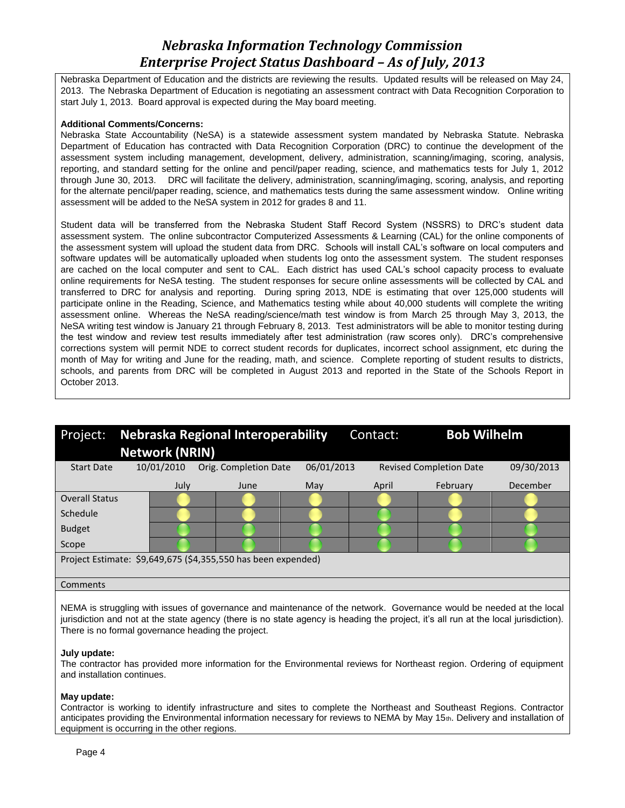Nebraska Department of Education and the districts are reviewing the results. Updated results will be released on May 24, 2013. The Nebraska Department of Education is negotiating an assessment contract with Data Recognition Corporation to start July 1, 2013. Board approval is expected during the May board meeting.

# **Additional Comments/Concerns:**

Nebraska State Accountability (NeSA) is a statewide assessment system mandated by Nebraska Statute. Nebraska Department of Education has contracted with Data Recognition Corporation (DRC) to continue the development of the assessment system including management, development, delivery, administration, scanning/imaging, scoring, analysis, reporting, and standard setting for the online and pencil/paper reading, science, and mathematics tests for July 1, 2012 through June 30, 2013. DRC will facilitate the delivery, administration, scanning/imaging, scoring, analysis, and reporting for the alternate pencil/paper reading, science, and mathematics tests during the same assessment window. Online writing assessment will be added to the NeSA system in 2012 for grades 8 and 11.

Student data will be transferred from the Nebraska Student Staff Record System (NSSRS) to DRC's student data assessment system. The online subcontractor Computerized Assessments & Learning (CAL) for the online components of the assessment system will upload the student data from DRC. Schools will install CAL's software on local computers and software updates will be automatically uploaded when students log onto the assessment system. The student responses are cached on the local computer and sent to CAL. Each district has used CAL's school capacity process to evaluate online requirements for NeSA testing. The student responses for secure online assessments will be collected by CAL and transferred to DRC for analysis and reporting. During spring 2013, NDE is estimating that over 125,000 students will participate online in the Reading, Science, and Mathematics testing while about 40,000 students will complete the writing assessment online. Whereas the NeSA reading/science/math test window is from March 25 through May 3, 2013, the NeSA writing test window is January 21 through February 8, 2013. Test administrators will be able to monitor testing during the test window and review test results immediately after test administration (raw scores only). DRC's comprehensive corrections system will permit NDE to correct student records for duplicates, incorrect school assignment, etc during the month of May for writing and June for the reading, math, and science. Complete reporting of student results to districts, schools, and parents from DRC will be completed in August 2013 and reported in the State of the Schools Report in October 2013.

| Project:                                                      |  |                       | Nebraska Regional Interoperability |            | Contact: | <b>Bob Wilhelm</b>             |            |
|---------------------------------------------------------------|--|-----------------------|------------------------------------|------------|----------|--------------------------------|------------|
|                                                               |  | <b>Network (NRIN)</b> |                                    |            |          |                                |            |
| <b>Start Date</b>                                             |  | 10/01/2010            | Orig. Completion Date              | 06/01/2013 |          | <b>Revised Completion Date</b> | 09/30/2013 |
|                                                               |  | July                  | June                               | May        | April    | February                       | December   |
| <b>Overall Status</b>                                         |  |                       |                                    |            |          |                                |            |
| Schedule                                                      |  |                       |                                    |            |          |                                |            |
| <b>Budget</b>                                                 |  |                       |                                    |            |          |                                |            |
| Scope                                                         |  |                       |                                    |            |          |                                |            |
| Project Estimate: \$9,649,675 (\$4,355,550 has been expended) |  |                       |                                    |            |          |                                |            |
|                                                               |  |                       |                                    |            |          |                                |            |
| Comments                                                      |  |                       |                                    |            |          |                                |            |

NEMA is struggling with issues of governance and maintenance of the network. Governance would be needed at the local jurisdiction and not at the state agency (there is no state agency is heading the project, it's all run at the local jurisdiction). There is no formal governance heading the project.

# **July update:**

The contractor has provided more information for the Environmental reviews for Northeast region. Ordering of equipment and installation continues.

### **May update:**

Contractor is working to identify infrastructure and sites to complete the Northeast and Southeast Regions. Contractor anticipates providing the Environmental information necessary for reviews to NEMA by May 15th. Delivery and installation of equipment is occurring in the other regions.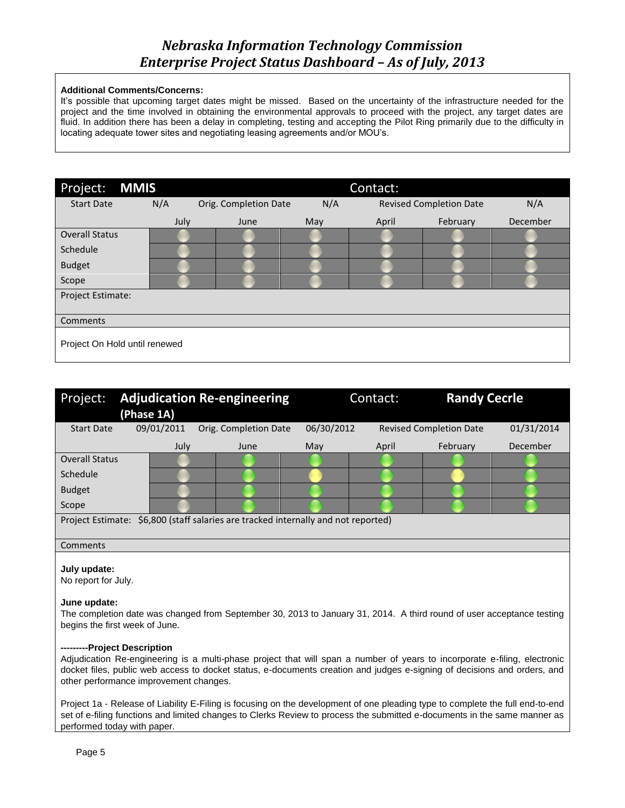# **Additional Comments/Concerns:**

It's possible that upcoming target dates might be missed. Based on the uncertainty of the infrastructure needed for the project and the time involved in obtaining the environmental approvals to proceed with the project, any target dates are fluid. In addition there has been a delay in completing, testing and accepting the Pilot Ring primarily due to the difficulty in locating adequate tower sites and negotiating leasing agreements and/or MOU's.

| Project:<br><b>MMIS</b>       |      |                       |     | Contact: |                                |          |
|-------------------------------|------|-----------------------|-----|----------|--------------------------------|----------|
| <b>Start Date</b>             | N/A  | Orig. Completion Date | N/A |          | <b>Revised Completion Date</b> | N/A      |
|                               | July | June                  | May | April    | February                       | December |
| <b>Overall Status</b>         |      |                       |     |          |                                |          |
| Schedule                      |      |                       |     |          |                                |          |
| <b>Budget</b>                 |      |                       |     |          |                                |          |
| Scope                         |      |                       |     |          |                                |          |
| Project Estimate:             |      |                       |     |          |                                |          |
|                               |      |                       |     |          |                                |          |
| Comments                      |      |                       |     |          |                                |          |
| Project On Hold until renewed |      |                       |     |          |                                |          |

| Project:              | <b>Adjudication Re-engineering</b><br>(Phase 1A) |                                                                                    |            | Contact: | <b>Randy Cecrle</b>            |            |
|-----------------------|--------------------------------------------------|------------------------------------------------------------------------------------|------------|----------|--------------------------------|------------|
| <b>Start Date</b>     | 09/01/2011                                       | Orig. Completion Date                                                              | 06/30/2012 |          | <b>Revised Completion Date</b> | 01/31/2014 |
|                       | July                                             | June                                                                               | May        | April    | February                       | December   |
| <b>Overall Status</b> |                                                  |                                                                                    |            |          |                                |            |
| Schedule              |                                                  |                                                                                    |            |          |                                |            |
| <b>Budget</b>         |                                                  |                                                                                    |            |          |                                |            |
| Scope                 |                                                  |                                                                                    |            |          |                                |            |
|                       |                                                  | Project Estimate: \$6,800 (staff salaries are tracked internally and not reported) |            |          |                                |            |
|                       |                                                  |                                                                                    |            |          |                                |            |
| Comments              |                                                  |                                                                                    |            |          |                                |            |

### **July update:**

No report for July.

#### **June update:**

The completion date was changed from September 30, 2013 to January 31, 2014. A third round of user acceptance testing begins the first week of June.

#### **---------Project Description**

Adjudication Re-engineering is a multi-phase project that will span a number of years to incorporate e-filing, electronic docket files, public web access to docket status, e-documents creation and judges e-signing of decisions and orders, and other performance improvement changes.

Project 1a - Release of Liability E-Filing is focusing on the development of one pleading type to complete the full end-to-end set of e-filing functions and limited changes to Clerks Review to process the submitted e-documents in the same manner as performed today with paper.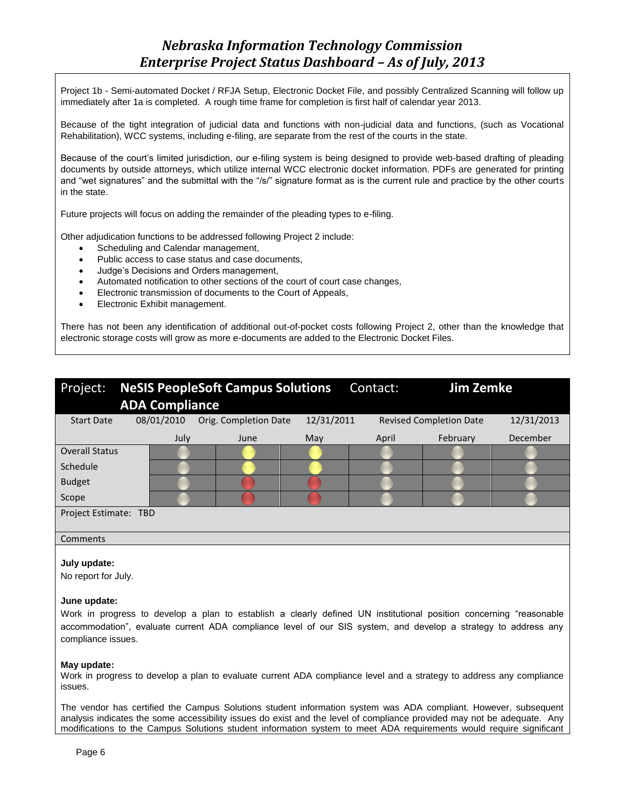Project 1b - Semi-automated Docket / RFJA Setup, Electronic Docket File, and possibly Centralized Scanning will follow up immediately after 1a is completed. A rough time frame for completion is first half of calendar year 2013.

Because of the tight integration of judicial data and functions with non-judicial data and functions, (such as Vocational Rehabilitation), WCC systems, including e-filing, are separate from the rest of the courts in the state.

Because of the court's limited jurisdiction, our e-filing system is being designed to provide web-based drafting of pleading documents by outside attorneys, which utilize internal WCC electronic docket information. PDFs are generated for printing and "wet signatures" and the submittal with the "/s/" signature format as is the current rule and practice by the other courts in the state.

Future projects will focus on adding the remainder of the pleading types to e-filing.

Other adjudication functions to be addressed following Project 2 include:

- Scheduling and Calendar management,
- Public access to case status and case documents,
- Judge's Decisions and Orders management,
- Automated notification to other sections of the court of court case changes,
- Electronic transmission of documents to the Court of Appeals,
- Electronic Exhibit management.

There has not been any identification of additional out-of-pocket costs following Project 2, other than the knowledge that electronic storage costs will grow as more e-documents are added to the Electronic Docket Files.

| Project:              |                       | <b>NeSIS PeopleSoft Campus Solutions</b> | Contact:   | <b>Jim Zemke</b> |                                |            |
|-----------------------|-----------------------|------------------------------------------|------------|------------------|--------------------------------|------------|
|                       | <b>ADA Compliance</b> |                                          |            |                  |                                |            |
| <b>Start Date</b>     | 08/01/2010            | Orig. Completion Date                    | 12/31/2011 |                  | <b>Revised Completion Date</b> | 12/31/2013 |
|                       | July                  | June                                     | May        | April            | February                       | December   |
| <b>Overall Status</b> |                       |                                          |            |                  |                                |            |
| Schedule              |                       |                                          |            |                  |                                |            |
| <b>Budget</b>         |                       |                                          |            |                  |                                |            |
| Scope                 |                       |                                          |            |                  |                                |            |
| Project Estimate: TBD |                       |                                          |            |                  |                                |            |
|                       |                       |                                          |            |                  |                                |            |
| Comments              |                       |                                          |            |                  |                                |            |

#### **July update:**

No report for July.

#### **June update:**

Work in progress to develop a plan to establish a clearly defined UN institutional position concerning "reasonable accommodation", evaluate current ADA compliance level of our SIS system, and develop a strategy to address any compliance issues.

### **May update:**

Work in progress to develop a plan to evaluate current ADA compliance level and a strategy to address any compliance issues.

The vendor has certified the Campus Solutions student information system was ADA compliant. However, subsequent analysis indicates the some accessibility issues do exist and the level of compliance provided may not be adequate. Any modifications to the Campus Solutions student information system to meet ADA requirements would require significant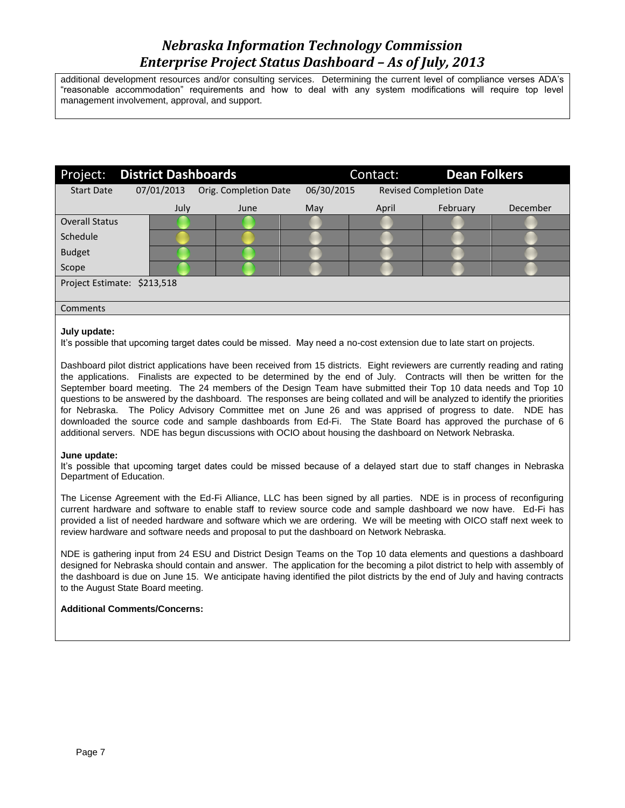additional development resources and/or consulting services. Determining the current level of compliance verses ADA's "reasonable accommodation" requirements and how to deal with any system modifications will require top level management involvement, approval, and support.

| Project:                    | <b>District Dashboards</b> |                       |            | <b>Dean Folkers</b><br>Contact: |                                |          |
|-----------------------------|----------------------------|-----------------------|------------|---------------------------------|--------------------------------|----------|
| <b>Start Date</b>           | 07/01/2013                 | Orig. Completion Date | 06/30/2015 |                                 | <b>Revised Completion Date</b> |          |
|                             | July                       | June                  | May        | April                           | February                       | December |
| <b>Overall Status</b>       |                            |                       |            |                                 |                                |          |
| Schedule                    |                            |                       |            |                                 |                                |          |
| <b>Budget</b>               |                            |                       |            |                                 |                                |          |
| Scope                       |                            |                       |            |                                 |                                |          |
| Project Estimate: \$213,518 |                            |                       |            |                                 |                                |          |
| Comments                    |                            |                       |            |                                 |                                |          |

# **July update:**

It's possible that upcoming target dates could be missed. May need a no-cost extension due to late start on projects.

Dashboard pilot district applications have been received from 15 districts. Eight reviewers are currently reading and rating the applications. Finalists are expected to be determined by the end of July. Contracts will then be written for the September board meeting. The 24 members of the Design Team have submitted their Top 10 data needs and Top 10 questions to be answered by the dashboard. The responses are being collated and will be analyzed to identify the priorities for Nebraska. The Policy Advisory Committee met on June 26 and was apprised of progress to date. NDE has downloaded the source code and sample dashboards from Ed-Fi. The State Board has approved the purchase of 6 additional servers. NDE has begun discussions with OCIO about housing the dashboard on Network Nebraska.

# **June update:**

It's possible that upcoming target dates could be missed because of a delayed start due to staff changes in Nebraska Department of Education.

The License Agreement with the Ed-Fi Alliance, LLC has been signed by all parties. NDE is in process of reconfiguring current hardware and software to enable staff to review source code and sample dashboard we now have. Ed-Fi has provided a list of needed hardware and software which we are ordering. We will be meeting with OICO staff next week to review hardware and software needs and proposal to put the dashboard on Network Nebraska.

NDE is gathering input from 24 ESU and District Design Teams on the Top 10 data elements and questions a dashboard designed for Nebraska should contain and answer. The application for the becoming a pilot district to help with assembly of the dashboard is due on June 15. We anticipate having identified the pilot districts by the end of July and having contracts to the August State Board meeting.

# **Additional Comments/Concerns:**